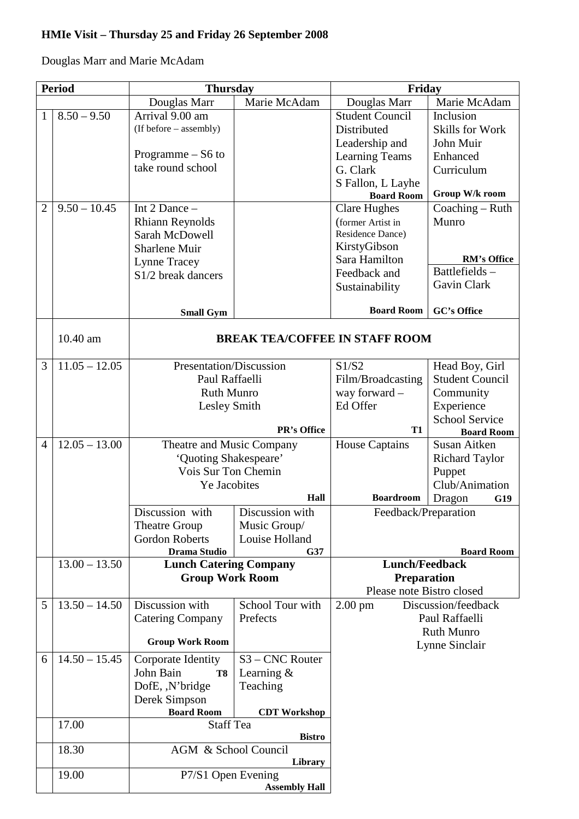# **HMIe Visit – Thursday 25 and Friday 26 September 2008**

# Douglas Marr and Marie McAdam

| <b>Period</b>  |                                                                         | <b>Thursday</b>                                                                                                                   |                                                                     | Friday                                                                                                                          |                                                                                    |
|----------------|-------------------------------------------------------------------------|-----------------------------------------------------------------------------------------------------------------------------------|---------------------------------------------------------------------|---------------------------------------------------------------------------------------------------------------------------------|------------------------------------------------------------------------------------|
|                |                                                                         | Douglas Marr                                                                                                                      | Marie McAdam                                                        | Douglas Marr                                                                                                                    | Marie McAdam                                                                       |
| 1              | $8.50 - 9.50$                                                           | Arrival 9.00 am<br>(If before – assembly)<br>Programme $-$ S6 to<br>take round school                                             |                                                                     | <b>Student Council</b><br>Distributed<br>Leadership and<br><b>Learning Teams</b><br>G. Clark                                    | Inclusion<br><b>Skills for Work</b><br>John Muir<br>Enhanced<br>Curriculum         |
|                |                                                                         |                                                                                                                                   |                                                                     | S Fallon, L Layhe<br><b>Board Room</b>                                                                                          | Group W/k room                                                                     |
| $\overline{2}$ | $9.50 - 10.45$                                                          | Int $2$ Dance $-$<br><b>Rhiann Reynolds</b><br>Sarah McDowell<br>Sharlene Muir<br>Lynne Tracey<br>S <sub>1</sub> /2 break dancers |                                                                     | <b>Clare Hughes</b><br>(former Artist in<br>Residence Dance)<br>KirstyGibson<br>Sara Hamilton<br>Feedback and<br>Sustainability | Coaching – Ruth<br>Munro<br><b>RM's Office</b><br>Battlefields-<br>Gavin Clark     |
|                |                                                                         | <b>Small Gym</b>                                                                                                                  |                                                                     | <b>Board Room</b>                                                                                                               | GC's Office                                                                        |
|                | 10.40 am                                                                | <b>BREAK TEA/COFFEE IN STAFF ROOM</b>                                                                                             |                                                                     |                                                                                                                                 |                                                                                    |
| 3              | $11.05 - 12.05$                                                         | Presentation/Discussion<br>Paul Raffaelli<br><b>Ruth Munro</b><br>Lesley Smith                                                    |                                                                     | S1/S2<br>Film/Broadcasting<br>way forward -<br>Ed Offer                                                                         | Head Boy, Girl<br><b>Student Council</b><br>Community<br>Experience                |
|                |                                                                         | PR's Office                                                                                                                       |                                                                     | <b>T1</b>                                                                                                                       | <b>School Service</b><br><b>Board Room</b>                                         |
| 4              | $12.05 - 13.00$                                                         | Theatre and Music Company<br>'Quoting Shakespeare'<br>Vois Sur Ton Chemin<br>Ye Jacobites<br>Hall                                 |                                                                     | <b>House Captains</b><br><b>Boardroom</b>                                                                                       | Susan Aitken<br><b>Richard Taylor</b><br>Puppet<br>Club/Animation<br>Dragon<br>G19 |
|                |                                                                         | Discussion with<br>Theatre Group<br><b>Gordon Roberts</b>                                                                         | Discussion with<br>Music Group/<br>Louise Holland                   | Feedback/Preparation                                                                                                            | <b>Board Room</b>                                                                  |
|                | Drama Studio<br>G37<br>$13.00 - 13.50$<br><b>Lunch Catering Company</b> |                                                                                                                                   | <b>Lunch/Feedback</b>                                               |                                                                                                                                 |                                                                                    |
|                |                                                                         | <b>Group Work Room</b>                                                                                                            |                                                                     | <b>Preparation</b>                                                                                                              |                                                                                    |
|                |                                                                         |                                                                                                                                   |                                                                     | Please note Bistro closed                                                                                                       |                                                                                    |
| 5              | $13.50 - 14.50$                                                         | Discussion with<br><b>Catering Company</b><br><b>Group Work Room</b>                                                              | School Tour with<br>Prefects                                        | Discussion/feedback<br>$2.00$ pm<br>Paul Raffaelli<br><b>Ruth Munro</b><br>Lynne Sinclair                                       |                                                                                    |
| 6              | $14.50 - 15.45$                                                         | Corporate Identity<br>John Bain<br>T <sub>8</sub><br>DofE, ,N'bridge<br>Derek Simpson<br><b>Board Room</b>                        | S3 - CNC Router<br>Learning $\&$<br>Teaching<br><b>CDT</b> Workshop |                                                                                                                                 |                                                                                    |
|                | 17.00                                                                   | <b>Staff Tea</b>                                                                                                                  |                                                                     |                                                                                                                                 |                                                                                    |
|                | 18.30                                                                   | <b>Bistro</b><br>AGM & School Council<br>Library                                                                                  |                                                                     |                                                                                                                                 |                                                                                    |
|                | 19.00                                                                   | P7/S1 Open Evening<br><b>Assembly Hall</b>                                                                                        |                                                                     |                                                                                                                                 |                                                                                    |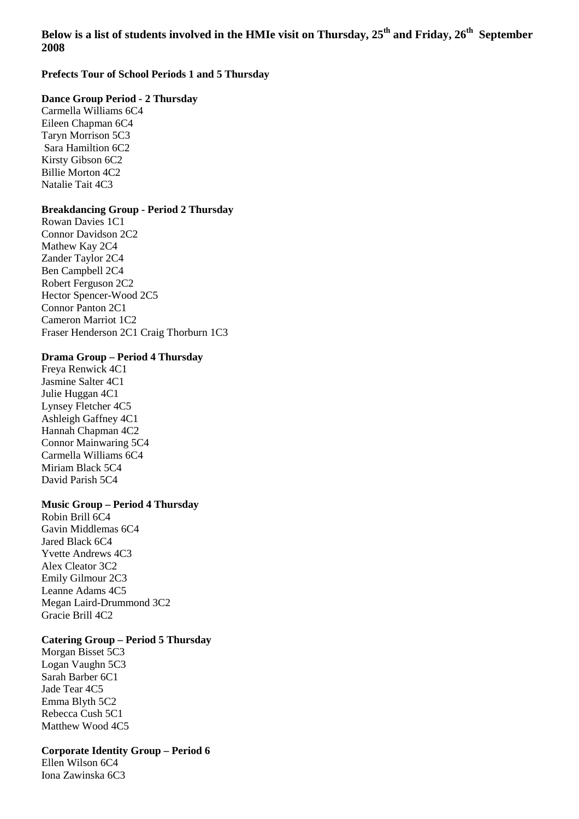# **Below is a list of students involved in the HMIe visit on Thursday, 25th and Friday, 26th September 2008**

**Prefects Tour of School Periods 1 and 5 Thursday** 

#### **Dance Group Period - 2 Thursday**

Carmella Williams 6C4 Eileen Chapman 6C4 Taryn Morrison 5C3 Sara Hamiltion 6C2 Kirsty Gibson 6C2 Billie Morton 4C2 Natalie Tait 4C3

#### **Breakdancing Group - Period 2 Thursday**

Rowan Davies 1C1 Connor Davidson 2C2 Mathew Kay 2C4 Zander Taylor 2C4 Ben Campbell 2C4 Robert Ferguson 2C2 Hector Spencer-Wood 2C5 Connor Panton 2C1 Cameron Marriot 1C2 Fraser Henderson 2C1 Craig Thorburn 1C3

## **Drama Group – Period 4 Thursday**

Freya Renwick 4C1 Jasmine Salter 4C1 Julie Huggan 4C1 Lynsey Fletcher 4C5 Ashleigh Gaffney 4C1 Hannah Chapman 4C2 Connor Mainwaring 5C4 Carmella Williams 6C4 Miriam Black 5C4 David Parish 5C4

#### **Music Group – Period 4 Thursday**

Robin Brill 6C4 Gavin Middlemas 6C4 Jared Black 6C4 Yvette Andrews 4C3 Alex Cleator 3C2 Emily Gilmour 2C3 Leanne Adams 4C5 Megan Laird-Drummond 3C2 Gracie Brill 4C2

#### **Catering Group – Period 5 Thursday**

Morgan Bisset 5C3 Logan Vaughn 5C3 Sarah Barber 6C1 Jade Tear 4C5 Emma Blyth 5C2 Rebecca Cush 5C1 Matthew Wood 4C5

#### **Corporate Identity Group – Period 6**

Ellen Wilson 6C4 Iona Zawinska 6C3